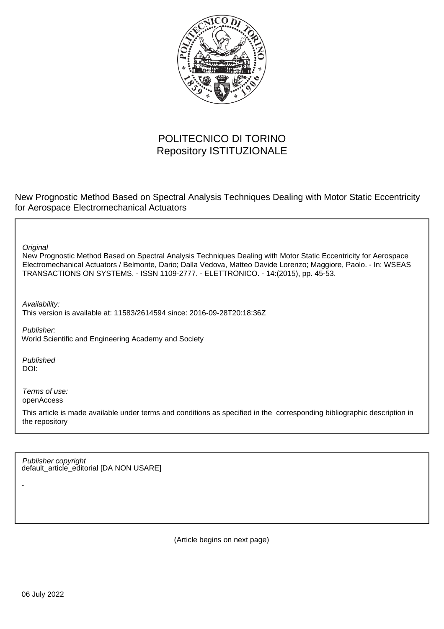

## POLITECNICO DI TORINO Repository ISTITUZIONALE

New Prognostic Method Based on Spectral Analysis Techniques Dealing with Motor Static Eccentricity for Aerospace Electromechanical Actuators

**Original** 

New Prognostic Method Based on Spectral Analysis Techniques Dealing with Motor Static Eccentricity for Aerospace Electromechanical Actuators / Belmonte, Dario; Dalla Vedova, Matteo Davide Lorenzo; Maggiore, Paolo. - In: WSEAS TRANSACTIONS ON SYSTEMS. - ISSN 1109-2777. - ELETTRONICO. - 14:(2015), pp. 45-53.

Availability: This version is available at: 11583/2614594 since: 2016-09-28T20:18:36Z

Publisher: World Scientific and Engineering Academy and Society

Published DOI:

-

Terms of use: openAccess

This article is made available under terms and conditions as specified in the corresponding bibliographic description in the repository

default\_article\_editorial [DA NON USARE] Publisher copyright

(Article begins on next page)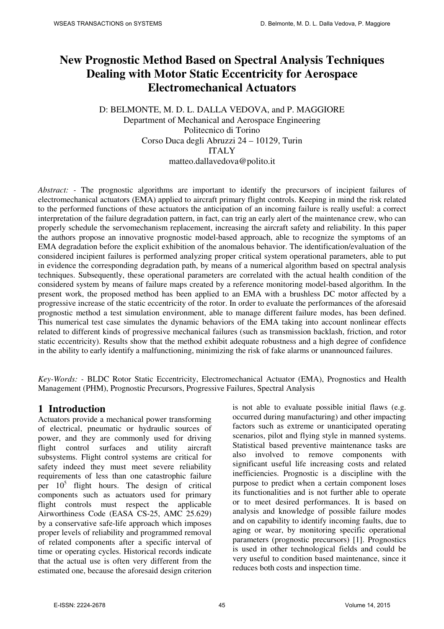# **New Prognostic Method Based on Spectral Analysis Techniques Dealing with Motor Static Eccentricity for Aerospace Electromechanical Actuators**

#### D: BELMONTE, M. D. L. DALLA VEDOVA, and P. MAGGIORE Department of Mechanical and Aerospace Engineering Politecnico di Torino Corso Duca degli Abruzzi 24 – 10129, Turin ITALY matteo.dallavedova@polito.it

*Abstract:* - The prognostic algorithms are important to identify the precursors of incipient failures of electromechanical actuators (EMA) applied to aircraft primary flight controls. Keeping in mind the risk related to the performed functions of these actuators the anticipation of an incoming failure is really useful: a correct interpretation of the failure degradation pattern, in fact, can trig an early alert of the maintenance crew, who can properly schedule the servomechanism replacement, increasing the aircraft safety and reliability. In this paper the authors propose an innovative prognostic model-based approach, able to recognize the symptoms of an EMA degradation before the explicit exhibition of the anomalous behavior. The identification/evaluation of the considered incipient failures is performed analyzing proper critical system operational parameters, able to put in evidence the corresponding degradation path, by means of a numerical algorithm based on spectral analysis techniques. Subsequently, these operational parameters are correlated with the actual health condition of the considered system by means of failure maps created by a reference monitoring model-based algorithm. In the present work, the proposed method has been applied to an EMA with a brushless DC motor affected by a progressive increase of the static eccentricity of the rotor. In order to evaluate the performances of the aforesaid prognostic method a test simulation environment, able to manage different failure modes, has been defined. This numerical test case simulates the dynamic behaviors of the EMA taking into account nonlinear effects related to different kinds of progressive mechanical failures (such as transmission backlash, friction, and rotor static eccentricity). Results show that the method exhibit adequate robustness and a high degree of confidence in the ability to early identify a malfunctioning, minimizing the risk of fake alarms or unannounced failures.

*Key-Words: -* BLDC Rotor Static Eccentricity, Electromechanical Actuator (EMA), Prognostics and Health Management (PHM), Prognostic Precursors, Progressive Failures, Spectral Analysis

#### **1 Introduction**

Actuators provide a mechanical power transforming of electrical, pneumatic or hydraulic sources of power, and they are commonly used for driving flight control surfaces and utility aircraft subsystems. Flight control systems are critical for safety indeed they must meet severe reliability requirements of less than one catastrophic failure per  $10^5$  flight hours. The design of critical components such as actuators used for primary flight controls must respect the applicable Airworthiness Code (EASA CS-25, AMC 25.629) by a conservative safe-life approach which imposes proper levels of reliability and programmed removal of related components after a specific interval of time or operating cycles. Historical records indicate that the actual use is often very different from the estimated one, because the aforesaid design criterion

is not able to evaluate possible initial flaws (e.g. occurred during manufacturing) and other impacting factors such as extreme or unanticipated operating scenarios, pilot and flying style in manned systems. Statistical based preventive maintenance tasks are also involved to remove components with significant useful life increasing costs and related inefficiencies. Prognostic is a discipline with the purpose to predict when a certain component loses its functionalities and is not further able to operate or to meet desired performances. It is based on analysis and knowledge of possible failure modes and on capability to identify incoming faults, due to aging or wear, by monitoring specific operational parameters (prognostic precursors) [1]. Prognostics is used in other technological fields and could be very useful to condition based maintenance, since it reduces both costs and inspection time.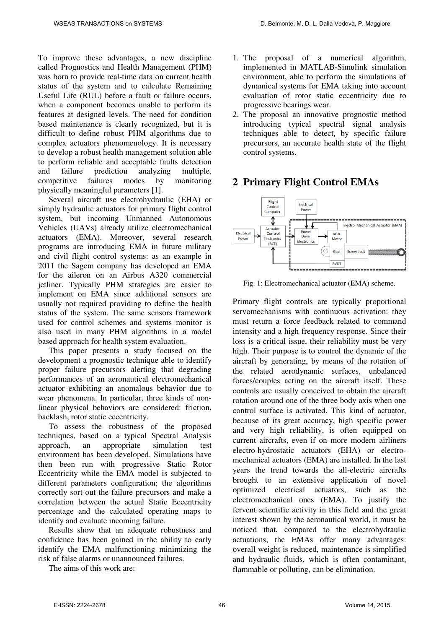To improve these advantages, a new discipline called Prognostics and Health Management (PHM) was born to provide real-time data on current health status of the system and to calculate Remaining Useful Life (RUL) before a fault or failure occurs, when a component becomes unable to perform its features at designed levels. The need for condition based maintenance is clearly recognized, but it is difficult to define robust PHM algorithms due to complex actuators phenomenology. It is necessary to develop a robust health management solution able to perform reliable and acceptable faults detection and failure prediction analyzing multiple, competitive failures modes by monitoring physically meaningful parameters [1].

Several aircraft use electrohydraulic (EHA) or simply hydraulic actuators for primary flight control system, but incoming Unmanned Autonomous Vehicles (UAVs) already utilize electromechanical actuators (EMA). Moreover, several research programs are introducing EMA in future military and civil flight control systems: as an example in 2011 the Sagem company has developed an EMA for the aileron on an Airbus A320 commercial jetliner. Typically PHM strategies are easier to implement on EMA since additional sensors are usually not required providing to define the health status of the system. The same sensors framework used for control schemes and systems monitor is also used in many PHM algorithms in a model based approach for health system evaluation.

This paper presents a study focused on the development a prognostic technique able to identify proper failure precursors alerting that degrading performances of an aeronautical electromechanical actuator exhibiting an anomalous behavior due to wear phenomena. In particular, three kinds of nonlinear physical behaviors are considered: friction, backlash, rotor static eccentricity.

To assess the robustness of the proposed techniques, based on a typical Spectral Analysis approach, an appropriate simulation test environment has been developed. Simulations have then been run with progressive Static Rotor Eccentricity while the EMA model is subjected to different parameters configuration; the algorithms correctly sort out the failure precursors and make a correlation between the actual Static Eccentricity percentage and the calculated operating maps to identify and evaluate incoming failure.

Results show that an adequate robustness and confidence has been gained in the ability to early identify the EMA malfunctioning minimizing the risk of false alarms or unannounced failures.

The aims of this work are:

- 1. The proposal of a numerical algorithm, implemented in MATLAB-Simulink simulation environment, able to perform the simulations of dynamical systems for EMA taking into account evaluation of rotor static eccentricity due to progressive bearings wear.
- 2. The proposal an innovative prognostic method introducing typical spectral signal analysis techniques able to detect, by specific failure precursors, an accurate health state of the flight control systems.

## **2 Primary Flight Control EMAs**



Fig. 1: Electromechanical actuator (EMA) scheme.

Primary flight controls are typically proportional servomechanisms with continuous activation: they must return a force feedback related to command intensity and a high frequency response. Since their loss is a critical issue, their reliability must be very high. Their purpose is to control the dynamic of the aircraft by generating, by means of the rotation of the related aerodynamic surfaces, unbalanced forces/couples acting on the aircraft itself. These controls are usually conceived to obtain the aircraft rotation around one of the three body axis when one control surface is activated. This kind of actuator, because of its great accuracy, high specific power and very high reliability, is often equipped on current aircrafts, even if on more modern airliners electro-hydrostatic actuators (EHA) or electromechanical actuators (EMA) are installed. In the last years the trend towards the all-electric aircrafts brought to an extensive application of novel optimized electrical actuators, such as the electromechanical ones (EMA). To justify the fervent scientific activity in this field and the great interest shown by the aeronautical world, it must be noticed that, compared to the electrohydraulic actuations, the EMAs offer many advantages: overall weight is reduced, maintenance is simplified and hydraulic fluids, which is often contaminant, flammable or polluting, can be elimination.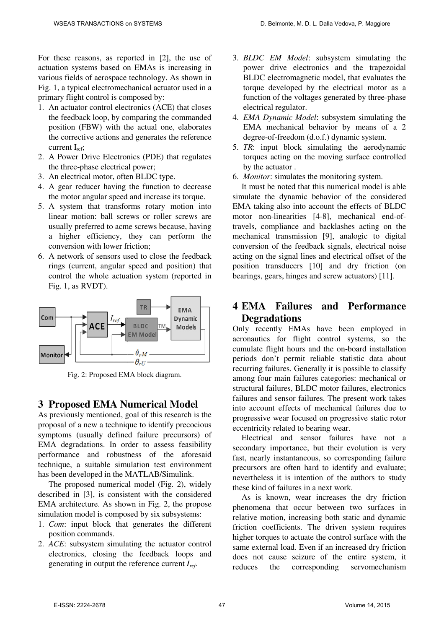For these reasons, as reported in [2], the use of actuation systems based on EMAs is increasing in various fields of aerospace technology. As shown in Fig. 1, a typical electromechanical actuator used in a primary flight control is composed by:

- 1. An actuator control electronics (ACE) that closes the feedback loop, by comparing the commanded position (FBW) with the actual one, elaborates the corrective actions and generates the reference current  $I_{ref}$ :
- 2. A Power Drive Electronics (PDE) that regulates the three-phase electrical power;
- 3. An electrical motor, often BLDC type.
- 4. A gear reducer having the function to decrease the motor angular speed and increase its torque.
- 5. A system that transforms rotary motion into linear motion: ball screws or roller screws are usually preferred to acme screws because, having a higher efficiency, they can perform the conversion with lower friction;
- 6. A network of sensors used to close the feedback rings (current, angular speed and position) that control the whole actuation system (reported in Fig. 1, as RVDT).



Fig. 2: Proposed EMA block diagram.

## **3 Proposed EMA Numerical Model**

As previously mentioned, goal of this research is the proposal of a new a technique to identify precocious symptoms (usually defined failure precursors) of EMA degradations. In order to assess feasibility performance and robustness of the aforesaid technique, a suitable simulation test environment has been developed in the MATLAB/Simulink.

The proposed numerical model (Fig. 2), widely described in [3], is consistent with the considered EMA architecture. As shown in Fig. 2, the propose simulation model is composed by six subsystems:

- 1. *Com*: input block that generates the different position commands.
- 2. *ACE*: subsystem simulating the actuator control electronics, closing the feedback loops and generating in output the reference current *Iref*.
- 3. *BLDC EM Model*: subsystem simulating the power drive electronics and the trapezoidal BLDC electromagnetic model, that evaluates the torque developed by the electrical motor as a function of the voltages generated by three-phase electrical regulator.
- 4. *EMA Dynamic Model*: subsystem simulating the EMA mechanical behavior by means of a 2 degree-of-freedom (d.o.f.) dynamic system.
- 5. *TR*: input block simulating the aerodynamic torques acting on the moving surface controlled by the actuator .
- 6. *Monitor*: simulates the monitoring system.

It must be noted that this numerical model is able simulate the dynamic behavior of the considered EMA taking also into account the effects of BLDC motor non-linearities [4-8], mechanical end-oftravels, compliance and backlashes acting on the mechanical transmission [9], analogic to digital conversion of the feedback signals, electrical noise acting on the signal lines and electrical offset of the position transducers [10] and dry friction (on bearings, gears, hinges and screw actuators) [11].

#### **4 EMA Failures and Performance Degradations**

Only recently EMAs have been employed in aeronautics for flight control systems, so the cumulate flight hours and the on-board installation periods don't permit reliable statistic data about recurring failures. Generally it is possible to classify among four main failures categories: mechanical or structural failures, BLDC motor failures, electronics failures and sensor failures. The present work takes into account effects of mechanical failures due to progressive wear focused on progressive static rotor eccentricity related to bearing wear.

Electrical and sensor failures have not a secondary importance, but their evolution is very fast, nearly instantaneous, so corresponding failure precursors are often hard to identify and evaluate; nevertheless it is intention of the authors to study these kind of failures in a next work.

As is known, wear increases the dry friction phenomena that occur between two surfaces in relative motion, increasing both static and dynamic friction coefficients. The driven system requires higher torques to actuate the control surface with the same external load. Even if an increased dry friction does not cause seizure of the entire system, it reduces the corresponding servomechanism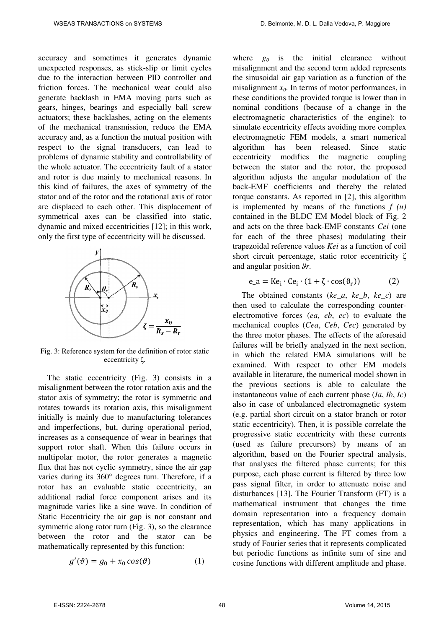accuracy and sometimes it generates dynamic unexpected responses, as stick-slip or limit cycles due to the interaction between PID controller and friction forces. The mechanical wear could also generate backlash in EMA moving parts such as gears, hinges, bearings and especially ball screw actuators; these backlashes, acting on the elements of the mechanical transmission, reduce the EMA accuracy and, as a function the mutual position with respect to the signal transducers, can lead to problems of dynamic stability and controllability of the whole actuator. The eccentricity fault of a stator and rotor is due mainly to mechanical reasons. In this kind of failures, the axes of symmetry of the stator and of the rotor and the rotational axis of rotor are displaced to each other. This displacement of symmetrical axes can be classified into static, dynamic and mixed eccentricities [12]; in this work, only the first type of eccentricity will be discussed.



Fig. 3: Reference system for the definition of rotor static eccentricity ζ.

The static eccentricity (Fig. 3) consists in a misalignment between the rotor rotation axis and the stator axis of symmetry; the rotor is symmetric and rotates towards its rotation axis, this misalignment initially is mainly due to manufacturing tolerances and imperfections, but, during operational period, increases as a consequence of wear in bearings that support rotor shaft. When this failure occurs in multipolar motor, the rotor generates a magnetic flux that has not cyclic symmetry, since the air gap varies during its 360° degrees turn. Therefore, if a rotor has an evaluable static eccentricity, an additional radial force component arises and its magnitude varies like a sine wave. In condition of Static Eccentricity the air gap is not constant and symmetric along rotor turn (Fig. 3), so the clearance between the rotor and the stator can be mathematically represented by this function:

$$
g'(\vartheta) = g_0 + x_0 \cos(\vartheta) \tag{1}
$$

where  $g_0$  is the initial clearance without misalignment and the second term added represents the sinusoidal air gap variation as a function of the misalignment *x0*. In terms of motor performances, in these conditions the provided torque is lower than in nominal conditions (because of a change in the electromagnetic characteristics of the engine): to simulate eccentricity effects avoiding more complex electromagnetic FEM models, a smart numerical algorithm has been released. Since static eccentricity modifies the magnetic coupling between the stator and the rotor, the proposed algorithm adjusts the angular modulation of the back-EMF coefficients and thereby the related torque constants. As reported in [2], this algorithm is implemented by means of the functions  $f(u)$ contained in the BLDC EM Model block of Fig. 2 and acts on the three back-EMF constants *Cei* (one for each of the three phases) modulating their trapezoidal reference values *Kei* as a function of coil short circuit percentage, static rotor eccentricity ζ and angular position ϑ*r*.

$$
e_{a} = Ke_{i} \cdot Ce_{i} \cdot (1 + \zeta \cdot \cos(\vartheta_{r}))
$$
 (2)

The obtained constants (*ke\_a*, *ke\_b*, *ke\_c*) are then used to calculate the corresponding counterelectromotive forces (*ea*, *eb*, *ec*) to evaluate the mechanical couples (*Cea*, *Ceb*, *Cec*) generated by the three motor phases. The effects of the aforesaid failures will be briefly analyzed in the next section, in which the related EMA simulations will be examined. With respect to other EM models available in literature, the numerical model shown in the previous sections is able to calculate the instantaneous value of each current phase (*Ia*, *Ib*, *Ic*) also in case of unbalanced electromagnetic system (e.g. partial short circuit on a stator branch or rotor static eccentricity). Then, it is possible correlate the progressive static eccentricity with these currents (used as failure precursors) by means of an algorithm, based on the Fourier spectral analysis, that analyses the filtered phase currents; for this purpose, each phase current is filtered by three low pass signal filter, in order to attenuate noise and disturbances [13]. The Fourier Transform (FT) is a mathematical instrument that changes the time domain representation into a frequency domain representation, which has many applications in physics and engineering. The FT comes from a study of Fourier series that it represents complicated but periodic functions as infinite sum of sine and cosine functions with different amplitude and phase.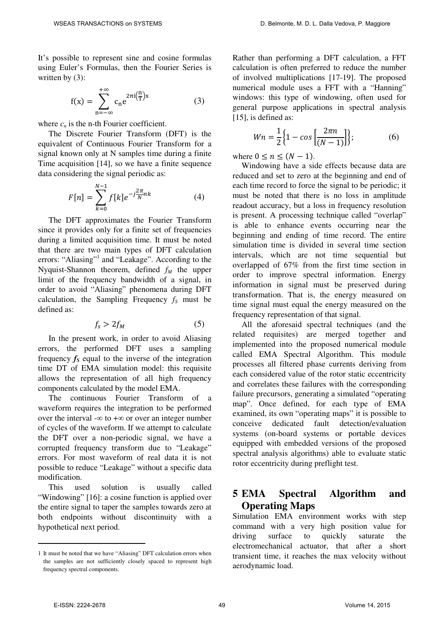It's possible to represent sine and cosine formulas using Euler's Formulas, then the Fourier Series is written by (3):

$$
f(x) = \sum_{n = -\infty}^{+\infty} c_n e^{2\pi i \left(\frac{n}{T}\right)x}
$$
 (3)

where  $c_n$  is the n-th Fourier coefficient.

The Discrete Fourier Transform (DFT) is the equivalent of Continuous Fourier Transform for a signal known only at N samples time during a finite Time acquisition [14], so we have a finite sequence data considering the signal periodic as:

$$
F[n] = \sum_{k=0}^{N-1} f[k] e^{-j\frac{2\pi}{N}nk}
$$
 (4)

The DFT approximates the Fourier Transform since it provides only for a finite set of frequencies during a limited acquisition time. It must be noted that there are two main types of DFT calculation errors: "Aliasing"<sup>1</sup> and "Leakage". According to the Nyquist-Shannon theorem, defined *fM* the upper limit of the frequency bandwidth of a signal, in order to avoid "Aliasing" phenomena during DFT calculation, the Sampling Frequency  $f_s$  must be defined as:

$$
f_s > 2f_M \tag{5}
$$

In the present work, in order to avoid Aliasing errors, the performed DFT uses a sampling frequency  $f_s$  equal to the inverse of the integration time DT of EMA simulation model: this requisite allows the representation of all high frequency components calculated by the model EMA.

The continuous Fourier Transform of a waveform requires the integration to be performed over the interval - $\infty$  to + $\infty$  or over an integer number of cycles of the waveform. If we attempt to calculate the DFT over a non-periodic signal, we have a corrupted frequency transform due to "Leakage" errors. For most waveform of real data it is not possible to reduce "Leakage" without a specific data modification.

This used solution is usually called "Windowing" [16]: a cosine function is applied over the entire signal to taper the samples towards zero at both endpoints without discontinuity with a hypothetical next period.

Rather than performing a DFT calculation, a FFT calculation is often preferred to reduce the number of involved multiplications [17-19]. The proposed numerical module uses a FFT with a "Hanning" windows: this type of windowing, often used for general purpose applications in spectral analysis [15], is defined as:

$$
Wn = \frac{1}{2} \Big\{ 1 - \cos \Big[ \frac{2\pi n}{(N-1)} \Big] \Big\};\tag{6}
$$

where  $0 \le n \le (N - 1)$ .

Windowing have a side effects because data are reduced and set to zero at the beginning and end of each time record to force the signal to be periodic; it must be noted that there is no loss in amplitude readout accuracy, but a loss in frequency resolution is present. A processing technique called "overlap" is able to enhance events occurring near the beginning and ending of time record. The entire simulation time is divided in several time section intervals, which are not time sequential but overlapped of 67% from the first time section in order to improve spectral information. Energy information in signal must be preserved during transformation. That is, the energy measured on time signal must equal the energy measured on the frequency representation of that signal.

All the aforesaid spectral techniques (and the related requisites) are merged together and implemented into the proposed numerical module called EMA Spectral Algorithm. This module processes all filtered phase currents deriving from each considered value of the rotor static eccentricity and correlates these failures with the corresponding failure precursors, generating a simulated "operating map". Once defined, for each type of EMA examined, its own "operating maps" it is possible to conceive dedicated fault detection/evaluation systems (on-board systems or portable devices equipped with embedded versions of the proposed spectral analysis algorithms) able to evaluate static rotor eccentricity during preflight test.

## **5 EMA Spectral Algorithm and Operating Maps**

Simulation EMA environment works with step command with a very high position value for driving surface to quickly saturate the electromechanical actuator, that after a short transient time, it reaches the max velocity without aerodynamic load.

 $\overline{a}$ 

<sup>1</sup> It must be noted that we have "Aliasing" DFT calculation errors when the samples are not sufficiently closely spaced to represent high frequency spectral components.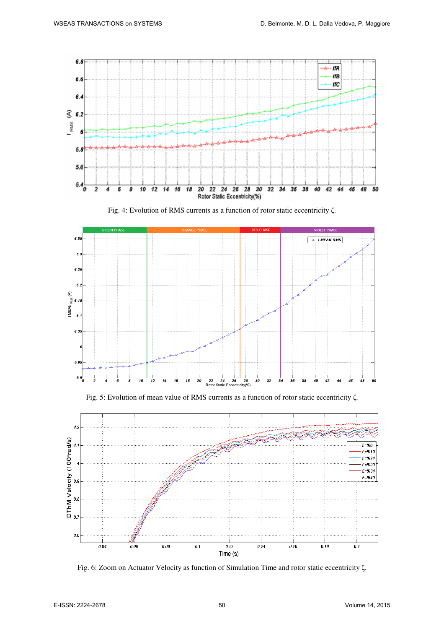

Fig. 4: Evolution of RMS currents as a function of rotor static eccentricity ζ.



Fig. 5: Evolution of mean value of RMS currents as a function of rotor static eccentricity ζ.



Fig. 6: Zoom on Actuator Velocity as function of Simulation Time and rotor static eccentricity ζ.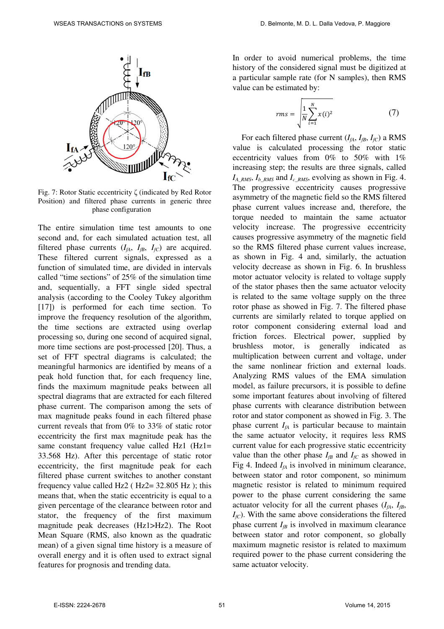

Fig. 7: Rotor Static eccentricity ζ (indicated by Red Rotor Position) and filtered phase currents in generic three phase configuration

The entire simulation time test amounts to one second and, for each simulated actuation test, all filtered phase currents  $(I_{fA}, I_{fB}, I_{fC})$  are acquired. These filtered current signals, expressed as a function of simulated time, are divided in intervals called "time sections" of 25% of the simulation time and, sequentially, a FFT single sided spectral analysis (according to the Cooley Tukey algorithm [17]) is performed for each time section. To improve the frequency resolution of the algorithm, the time sections are extracted using overlap processing so, during one second of acquired signal, more time sections are post-processed [20]. Thus, a set of FFT spectral diagrams is calculated; the meaningful harmonics are identified by means of a peak hold function that, for each frequency line, finds the maximum magnitude peaks between all spectral diagrams that are extracted for each filtered phase current. The comparison among the sets of max magnitude peaks found in each filtered phase current reveals that from 0% to 33% of static rotor eccentricity the first max magnitude peak has the same constant frequency value called Hz1 (Hz1= 33.568 Hz). After this percentage of static rotor eccentricity, the first magnitude peak for each filtered phase current switches to another constant frequency value called Hz2 ( $Hz2 = 32.805$  Hz); this means that, when the static eccentricity is equal to a given percentage of the clearance between rotor and stator, the frequency of the first maximum magnitude peak decreases (Hz1>Hz2). The Root Mean Square (RMS, also known as the quadratic mean) of a given signal time history is a measure of overall energy and it is often used to extract signal features for prognosis and trending data.

In order to avoid numerical problems, the time history of the considered signal must be digitized at a particular sample rate (for N samples), then RMS value can be estimated by:

$$
rms = \sqrt{\frac{1}{N} \sum_{i=1}^{N} x(i)^2}
$$
 (7)

For each filtered phase current  $(I_{fA}, I_{fB}, I_{fC})$  a RMS value is calculated processing the rotor static eccentricity values from 0% to 50% with 1% increasing step; the results are three signals, called  $I_{A_RMS}$ ,  $I_{b_RMS}$  and  $I_{c_RMS}$ , evolving as shown in Fig. 4. The progressive eccentricity causes progressive asymmetry of the magnetic field so the RMS filtered phase current values increase and, therefore, the torque needed to maintain the same actuator velocity increase. The progressive eccentricity causes progressive asymmetry of the magnetic field so the RMS filtered phase current values increase, as shown in Fig. 4 and, similarly, the actuation velocity decrease as shown in Fig. 6. In brushless motor actuator velocity is related to voltage supply of the stator phases then the same actuator velocity is related to the same voltage supply on the three rotor phase as showed in Fig. 7. The filtered phase currents are similarly related to torque applied on rotor component considering external load and friction forces. Electrical power, supplied by brushless motor, is generally indicated as multiplication between current and voltage, under the same nonlinear friction and external loads. Analyzing RMS values of the EMA simulation model, as failure precursors, it is possible to define some important features about involving of filtered phase currents with clearance distribution between rotor and stator component as showed in Fig. 3. The phase current  $I<sub>fA</sub>$  is particular because to maintain the same actuator velocity, it requires less RMS current value for each progressive static eccentricity value than the other phase  $I_{fB}$  and  $I_{fC}$  as showed in Fig 4. Indeed  $I<sub>fA</sub>$  is involved in minimum clearance, between stator and rotor component, so minimum magnetic resistor is related to minimum required power to the phase current considering the same actuator velocity for all the current phases  $(I<sub>fA</sub>, I<sub>fB</sub>, I<sub>fB</sub>)$  $I_{fC}$ ). With the same above considerations the filtered phase current  $I_{\beta}$  is involved in maximum clearance between stator and rotor component, so globally maximum magnetic resistor is related to maximum required power to the phase current considering the same actuator velocity.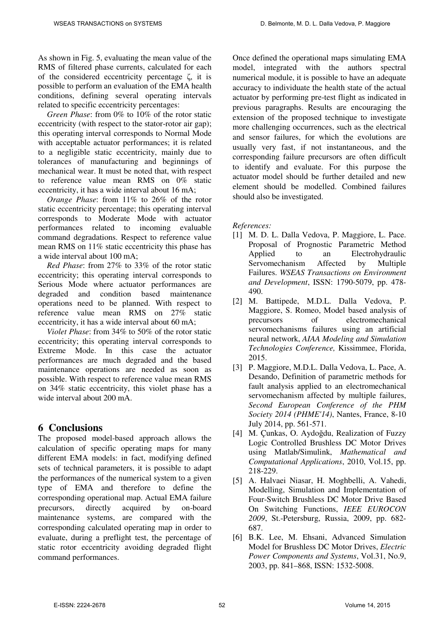As shown in Fig. 5, evaluating the mean value of the RMS of filtered phase currents, calculated for each of the considered eccentricity percentage  $\zeta$ , it is possible to perform an evaluation of the EMA health conditions, defining several operating intervals related to specific eccentricity percentages:

*Green Phase*: from 0% to 10% of the rotor static eccentricity (with respect to the stator-rotor air gap); this operating interval corresponds to Normal Mode with acceptable actuator performances; it is related to a negligible static eccentricity, mainly due to tolerances of manufacturing and beginnings of mechanical wear. It must be noted that, with respect to reference value mean RMS on 0% static eccentricity, it has a wide interval about 16 mA;

*Orange Phase*: from 11% to 26% of the rotor static eccentricity percentage; this operating interval corresponds to Moderate Mode with actuator performances related to incoming evaluable command degradations. Respect to reference value mean RMS on 11% static eccentricity this phase has a wide interval about 100 mA;

*Red Phase*: from 27% to 33% of the rotor static eccentricity; this operating interval corresponds to Serious Mode where actuator performances are degraded and condition based maintenance operations need to be planned. With respect to reference value mean RMS on 27% static eccentricity, it has a wide interval about 60 mA;

*Violet Phase*: from 34% to 50% of the rotor static eccentricity; this operating interval corresponds to Extreme Mode. In this case the actuator performances are much degraded and the based maintenance operations are needed as soon as possible. With respect to reference value mean RMS on 34% static eccentricity, this violet phase has a wide interval about 200 mA.

#### **6 Conclusions**

The proposed model-based approach allows the calculation of specific operating maps for many different EMA models: in fact, modifying defined sets of technical parameters, it is possible to adapt the performances of the numerical system to a given type of EMA and therefore to define the corresponding operational map. Actual EMA failure precursors, directly acquired by on-board maintenance systems, are compared with the corresponding calculated operating map in order to evaluate, during a preflight test, the percentage of static rotor eccentricity avoiding degraded flight command performances.

Once defined the operational maps simulating EMA model, integrated with the authors spectral numerical module, it is possible to have an adequate accuracy to individuate the health state of the actual actuator by performing pre-test flight as indicated in previous paragraphs. Results are encouraging the extension of the proposed technique to investigate more challenging occurrences, such as the electrical and sensor failures, for which the evolutions are usually very fast, if not instantaneous, and the corresponding failure precursors are often difficult to identify and evaluate. For this purpose the actuator model should be further detailed and new element should be modelled. Combined failures should also be investigated.

*References:* 

- [1] M. D. L. Dalla Vedova, P. Maggiore, L. Pace. Proposal of Prognostic Parametric Method Applied to an Electrohydraulic Servomechanism Affected by Multiple Failures. *WSEAS Transactions on Environment and Development*, ISSN: 1790-5079, pp. 478- 490.
- [2] M. Battipede, M.D.L. Dalla Vedova, P. Maggiore, S. Romeo, Model based analysis of precursors of electromechanical servomechanisms failures using an artificial neural network, *AIAA Modeling and Simulation Technologies Conference,* Kissimmee, Florida, 2015.
- [3] P. Maggiore, M.D.L. Dalla Vedova, L. Pace, A. Desando, Definition of parametric methods for fault analysis applied to an electromechanical servomechanism affected by multiple failures, *Second European Conference of the PHM Society 2014 (PHME'14)*, Nantes, France, 8-10 July 2014, pp. 561-571.
- [4] M. Çunkas, O. Aydoğdu, Realization of Fuzzy Logic Controlled Brushless DC Motor Drives using Matlab/Simulink, *Mathematical and Computational Applications*, 2010, Vol.15, pp. 218-229.
- [5] A. Halvaei Niasar, H. Moghbelli, A. Vahedi, Modelling, Simulation and Implementation of Four-Switch Brushless DC Motor Drive Based On Switching Functions, *IEEE EUROCON 2009*, St.-Petersburg, Russia, 2009, pp. 682- 687.
- [6] B.K. Lee, M. Ehsani, Advanced Simulation Model for Brushless DC Motor Drives, *Electric Power Components and Systems*, Vol.31, No.9, 2003, pp. 841–868, ISSN: 1532-5008.